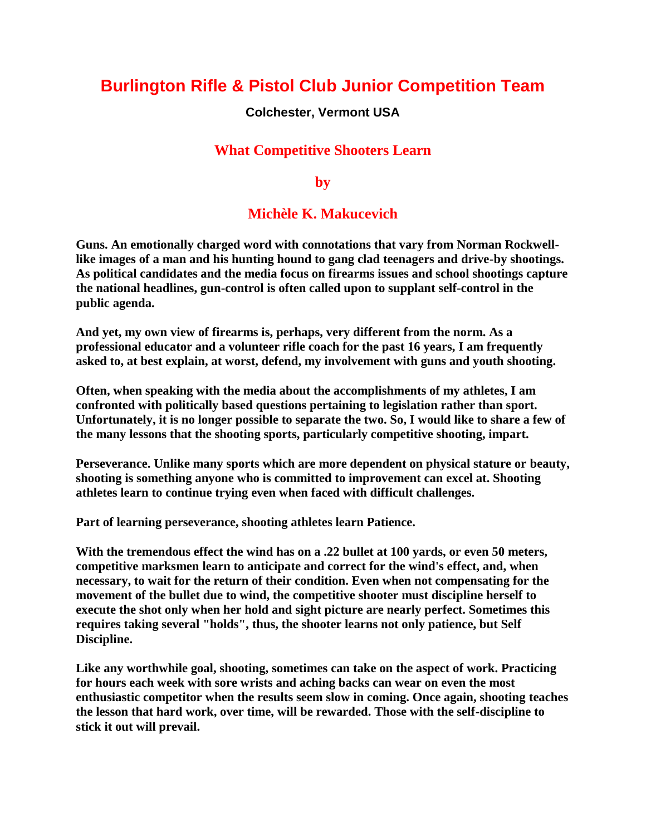# **Burlington Rifle & Pistol Club Junior Competition Team**

#### **Colchester, Vermont USA**

### **What Competitive Shooters Learn**

**by**

## **Michèle K. Makucevich**

**Guns. An emotionally charged word with connotations that vary from Norman Rockwelllike images of a man and his hunting hound to gang clad teenagers and drive-by shootings. As political candidates and the media focus on firearms issues and school shootings capture the national headlines, gun-control is often called upon to supplant self-control in the public agenda.**

**And yet, my own view of firearms is, perhaps, very different from the norm. As a professional educator and a volunteer rifle coach for the past 16 years, I am frequently asked to, at best explain, at worst, defend, my involvement with guns and youth shooting.**

**Often, when speaking with the media about the accomplishments of my athletes, I am confronted with politically based questions pertaining to legislation rather than sport. Unfortunately, it is no longer possible to separate the two. So, I would like to share a few of the many lessons that the shooting sports, particularly competitive shooting, impart.**

**Perseverance. Unlike many sports which are more dependent on physical stature or beauty, shooting is something anyone who is committed to improvement can excel at. Shooting athletes learn to continue trying even when faced with difficult challenges.**

**Part of learning perseverance, shooting athletes learn Patience.**

**With the tremendous effect the wind has on a .22 bullet at 100 yards, or even 50 meters, competitive marksmen learn to anticipate and correct for the wind's effect, and, when necessary, to wait for the return of their condition. Even when not compensating for the movement of the bullet due to wind, the competitive shooter must discipline herself to execute the shot only when her hold and sight picture are nearly perfect. Sometimes this requires taking several "holds", thus, the shooter learns not only patience, but Self Discipline.**

**Like any worthwhile goal, shooting, sometimes can take on the aspect of work. Practicing for hours each week with sore wrists and aching backs can wear on even the most enthusiastic competitor when the results seem slow in coming. Once again, shooting teaches the lesson that hard work, over time, will be rewarded. Those with the self-discipline to stick it out will prevail.**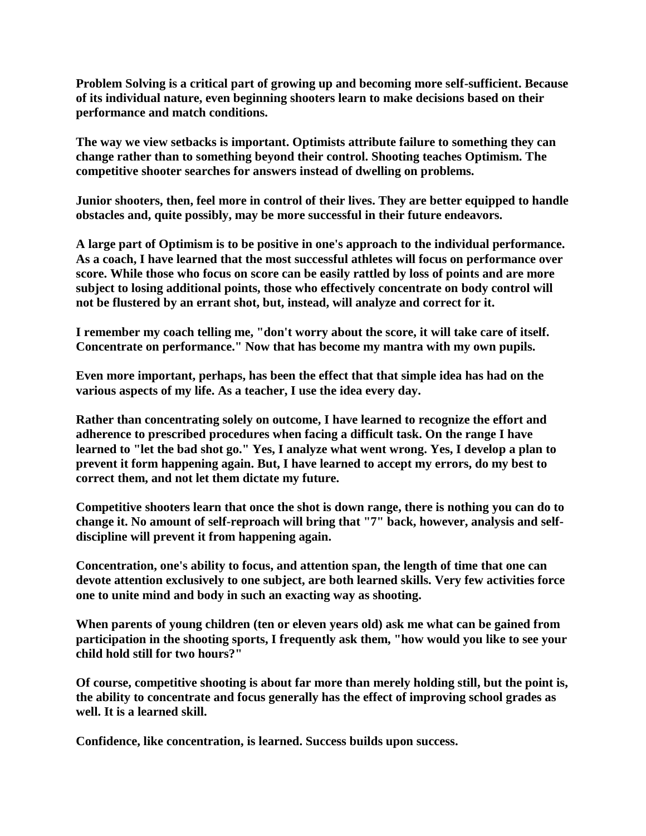**Problem Solving is a critical part of growing up and becoming more self-sufficient. Because of its individual nature, even beginning shooters learn to make decisions based on their performance and match conditions.**

**The way we view setbacks is important. Optimists attribute failure to something they can change rather than to something beyond their control. Shooting teaches Optimism. The competitive shooter searches for answers instead of dwelling on problems.**

**Junior shooters, then, feel more in control of their lives. They are better equipped to handle obstacles and, quite possibly, may be more successful in their future endeavors.**

**A large part of Optimism is to be positive in one's approach to the individual performance. As a coach, I have learned that the most successful athletes will focus on performance over score. While those who focus on score can be easily rattled by loss of points and are more subject to losing additional points, those who effectively concentrate on body control will not be flustered by an errant shot, but, instead, will analyze and correct for it.**

**I remember my coach telling me, "don't worry about the score, it will take care of itself. Concentrate on performance." Now that has become my mantra with my own pupils.**

**Even more important, perhaps, has been the effect that that simple idea has had on the various aspects of my life. As a teacher, I use the idea every day.**

**Rather than concentrating solely on outcome, I have learned to recognize the effort and adherence to prescribed procedures when facing a difficult task. On the range I have learned to "let the bad shot go." Yes, I analyze what went wrong. Yes, I develop a plan to prevent it form happening again. But, I have learned to accept my errors, do my best to correct them, and not let them dictate my future.**

**Competitive shooters learn that once the shot is down range, there is nothing you can do to change it. No amount of self-reproach will bring that "7" back, however, analysis and selfdiscipline will prevent it from happening again.**

**Concentration, one's ability to focus, and attention span, the length of time that one can devote attention exclusively to one subject, are both learned skills. Very few activities force one to unite mind and body in such an exacting way as shooting.**

**When parents of young children (ten or eleven years old) ask me what can be gained from participation in the shooting sports, I frequently ask them, "how would you like to see your child hold still for two hours?"**

**Of course, competitive shooting is about far more than merely holding still, but the point is, the ability to concentrate and focus generally has the effect of improving school grades as well. It is a learned skill.**

**Confidence, like concentration, is learned. Success builds upon success.**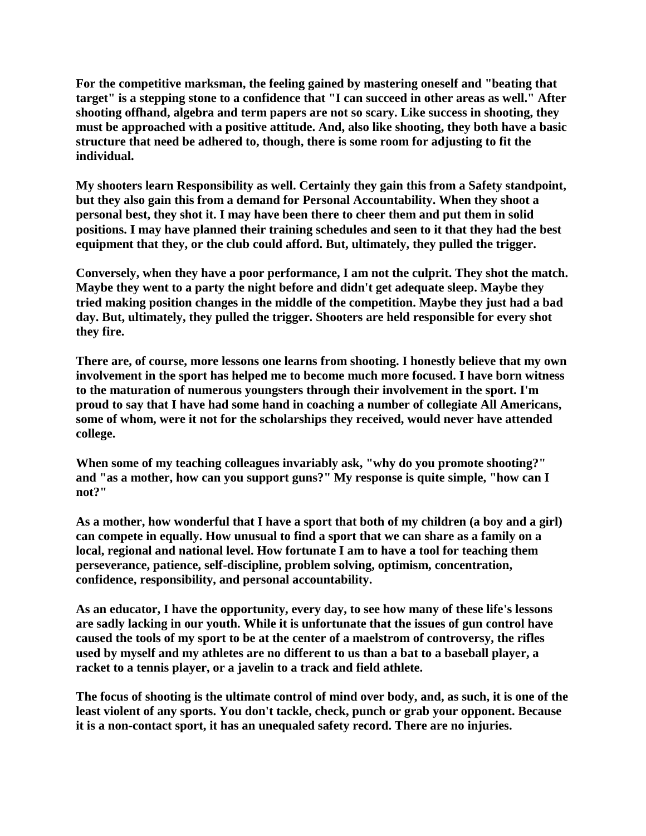**For the competitive marksman, the feeling gained by mastering oneself and "beating that target" is a stepping stone to a confidence that "I can succeed in other areas as well." After shooting offhand, algebra and term papers are not so scary. Like success in shooting, they must be approached with a positive attitude. And, also like shooting, they both have a basic structure that need be adhered to, though, there is some room for adjusting to fit the individual.**

**My shooters learn Responsibility as well. Certainly they gain this from a Safety standpoint, but they also gain this from a demand for Personal Accountability. When they shoot a personal best, they shot it. I may have been there to cheer them and put them in solid positions. I may have planned their training schedules and seen to it that they had the best equipment that they, or the club could afford. But, ultimately, they pulled the trigger.**

**Conversely, when they have a poor performance, I am not the culprit. They shot the match. Maybe they went to a party the night before and didn't get adequate sleep. Maybe they tried making position changes in the middle of the competition. Maybe they just had a bad day. But, ultimately, they pulled the trigger. Shooters are held responsible for every shot they fire.**

**There are, of course, more lessons one learns from shooting. I honestly believe that my own involvement in the sport has helped me to become much more focused. I have born witness to the maturation of numerous youngsters through their involvement in the sport. I'm proud to say that I have had some hand in coaching a number of collegiate All Americans, some of whom, were it not for the scholarships they received, would never have attended college.**

**When some of my teaching colleagues invariably ask, "why do you promote shooting?" and "as a mother, how can you support guns?" My response is quite simple, "how can I not?"**

**As a mother, how wonderful that I have a sport that both of my children (a boy and a girl) can compete in equally. How unusual to find a sport that we can share as a family on a local, regional and national level. How fortunate I am to have a tool for teaching them perseverance, patience, self-discipline, problem solving, optimism, concentration, confidence, responsibility, and personal accountability.**

**As an educator, I have the opportunity, every day, to see how many of these life's lessons are sadly lacking in our youth. While it is unfortunate that the issues of gun control have caused the tools of my sport to be at the center of a maelstrom of controversy, the rifles used by myself and my athletes are no different to us than a bat to a baseball player, a racket to a tennis player, or a javelin to a track and field athlete.**

**The focus of shooting is the ultimate control of mind over body, and, as such, it is one of the least violent of any sports. You don't tackle, check, punch or grab your opponent. Because it is a non-contact sport, it has an unequaled safety record. There are no injuries.**